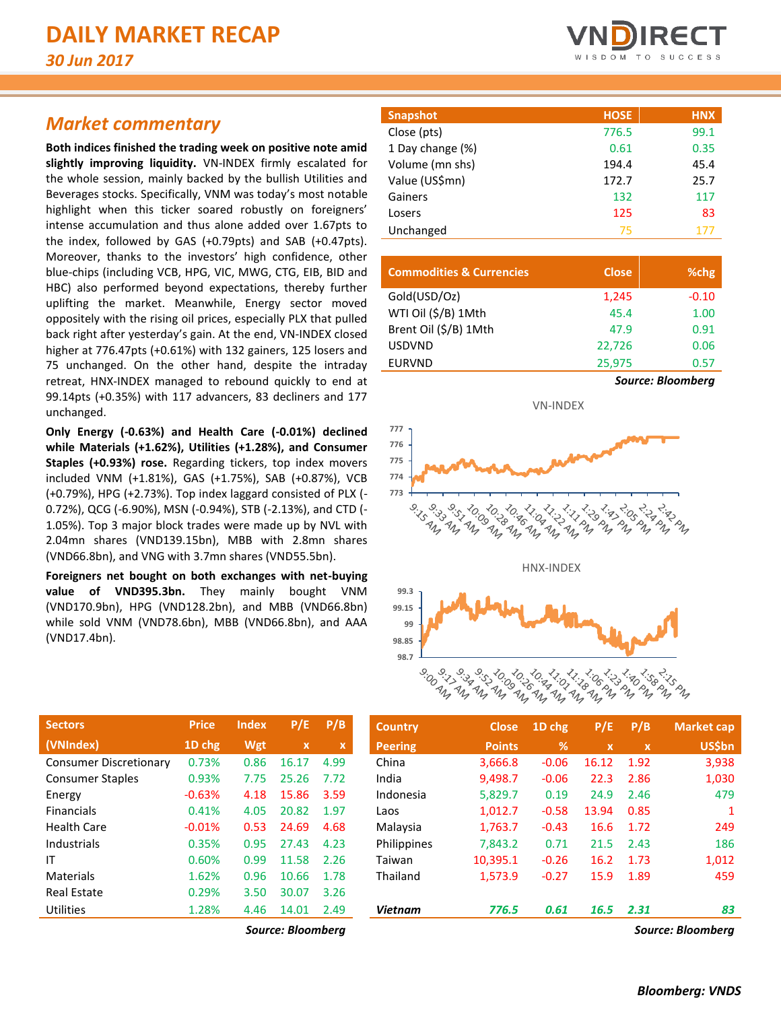# *Market commentary*

**Both indices finished the trading week on positive note amid slightly improving liquidity.** VN-INDEX firmly escalated for the whole session, mainly backed by the bullish Utilities and Beverages stocks. Specifically, VNM was today's most notable highlight when this ticker soared robustly on foreigners' intense accumulation and thus alone added over 1.67pts to the index, followed by GAS (+0.79pts) and SAB (+0.47pts). Moreover, thanks to the investors' high confidence, other blue-chips (including VCB, HPG, VIC, MWG, CTG, EIB, BID and HBC) also performed beyond expectations, thereby further uplifting the market. Meanwhile, Energy sector moved oppositely with the rising oil prices, especially PLX that pulled back right after yesterday's gain. At the end, VN-INDEX closed higher at 776.47pts (+0.61%) with 132 gainers, 125 losers and 75 unchanged. On the other hand, despite the intraday retreat, HNX-INDEX managed to rebound quickly to end at 99.14pts (+0.35%) with 117 advancers, 83 decliners and 177 unchanged.

**Only Energy (-0.63%) and Health Care (-0.01%) declined while Materials (+1.62%), Utilities (+1.28%), and Consumer Staples (+0.93%) rose.** Regarding tickers, top index movers included VNM (+1.81%), GAS (+1.75%), SAB (+0.87%), VCB (+0.79%), HPG (+2.73%). Top index laggard consisted of PLX (- 0.72%), QCG (-6.90%), MSN (-0.94%), STB (-2.13%), and CTD (- 1.05%). Top 3 major block trades were made up by NVL with 2.04mn shares (VND139.15bn), MBB with 2.8mn shares (VND66.8bn), and VNG with 3.7mn shares (VND55.5bn).

**Foreigners net bought on both exchanges with net-buying value of VND395.3bn.** They mainly bought VNM (VND170.9bn), HPG (VND128.2bn), and MBB (VND66.8bn) while sold VNM (VND78.6bn), MBB (VND66.8bn), and AAA (VND17.4bn).

| <b>Sectors</b>                | <b>Price</b> | <b>Index</b> | P/E         | P/B  |
|-------------------------------|--------------|--------------|-------------|------|
| (VNIndex)                     | 1D chg       | Wgt          | $\mathbf x$ | x    |
| <b>Consumer Discretionary</b> | 0.73%        | 0.86         | 16.17       | 4.99 |
| <b>Consumer Staples</b>       | 0.93%        | 7.75         | 25.26       | 7.72 |
| Energy                        | $-0.63%$     | 4.18         | 15.86       | 3.59 |
| <b>Financials</b>             | 0.41%        | 4.05         | 20.82       | 1.97 |
| <b>Health Care</b>            | $-0.01%$     | 0.53         | 24.69       | 4.68 |
| Industrials                   | 0.35%        | 0.95         | 27.43       | 4.23 |
| ΙT                            | 0.60%        | 0.99         | 11.58       | 2.26 |
| Materials                     | 1.62%        | 0.96         | 10.66       | 1.78 |
| <b>Real Estate</b>            | 0.29%        | 3.50         | 30.07       | 3.26 |
| Utilities                     | 1.28%        | 4.46         | 14.01       | 2.49 |

**Snapshot HOSE HNX** Close (pts) 776.5 99.1 1 Day change (%) 0.61 0.35 Volume (mn shs) 194.4 45.4 Value (US\$mn) 172.7 25.7 Gainers 132 117 Losers 83 Unchanged 75 177

| <b>Commodities &amp; Currencies</b> | <b>Close</b> | %chg              |
|-------------------------------------|--------------|-------------------|
| Gold(USD/Oz)                        | 1,245        | $-0.10$           |
| WTI Oil (\$/B) 1Mth                 | 45.4         | 1.00              |
| Brent Oil (\$/B) 1Mth               | 47.9         | 0.91              |
| <b>USDVND</b>                       | 22,726       | 0.06              |
| <b>EURVND</b>                       | 25,975       | 0.57              |
|                                     |              | Source: Bloombera |



| <b>Sectors</b>                | <b>Price</b> | <b>Index</b> | P/E          | P/B         | <b>Country</b> | <b>Close</b>  | 1D chg     | P/E                       | P/B  | <b>Market cap</b> |
|-------------------------------|--------------|--------------|--------------|-------------|----------------|---------------|------------|---------------------------|------|-------------------|
| (VNIndex)                     | 1D chg       | Wgt          | $\mathbf{x}$ | $\mathbf x$ | <b>Peering</b> | <b>Points</b> | $\sqrt{2}$ | $\boldsymbol{\mathsf{x}}$ | ιx'  | <b>US\$bn</b>     |
| <b>Consumer Discretionary</b> | 0.73%        | 0.86         | 16.17        | 4.99        | China          | 3,666.8       | $-0.06$    | 16.12                     | 1.92 | 3,938             |
| <b>Consumer Staples</b>       | 0.93%        | 7.75         | 25.26        | 7.72        | India          | 9,498.7       | $-0.06$    | 22.3                      | 2.86 | 1,030             |
| Energy                        | $-0.63%$     | 4.18         | 15.86        | 3.59        | Indonesia      | 5,829.7       | 0.19       | 24.9                      | 2.46 | 479               |
| <b>Financials</b>             | 0.41%        | 4.05         | 20.82        | 1.97        | Laos           | 1,012.7       | $-0.58$    | 13.94                     | 0.85 |                   |
| Health Care                   | $-0.01%$     | 0.53         | 24.69        | 4.68        | Malaysia       | 1,763.7       | $-0.43$    | 16.6                      | 1.72 | 249               |
| Industrials                   | 0.35%        | 0.95         | 27.43        | 4.23        | Philippines    | 7,843.2       | 0.71       | 21.5                      | 2.43 | 186               |
| ΙT                            | 0.60%        | 0.99         | 11.58        | 2.26        | Taiwan         | 10,395.1      | $-0.26$    | 16.2                      | 1.73 | 1,012             |
| Materials                     | 1.62%        | 0.96         | 10.66        | 1.78        | Thailand       | 1,573.9       | $-0.27$    | 15.9                      | 1.89 | 459               |
| <b>Real Estate</b>            | 0.29%        | 3.50         | 30.07        | 3.26        |                |               |            |                           |      |                   |
| Utilities                     | 1.28%        | 4.46         | 14.01        | 2.49        | <b>Vietnam</b> | 776.5         | 0.61       | 16.5                      | 2.31 | 83                |
|                               |              |              | $ -$         |             |                |               |            |                           |      |                   |

*Source: Bloomberg Source: Bloomberg*

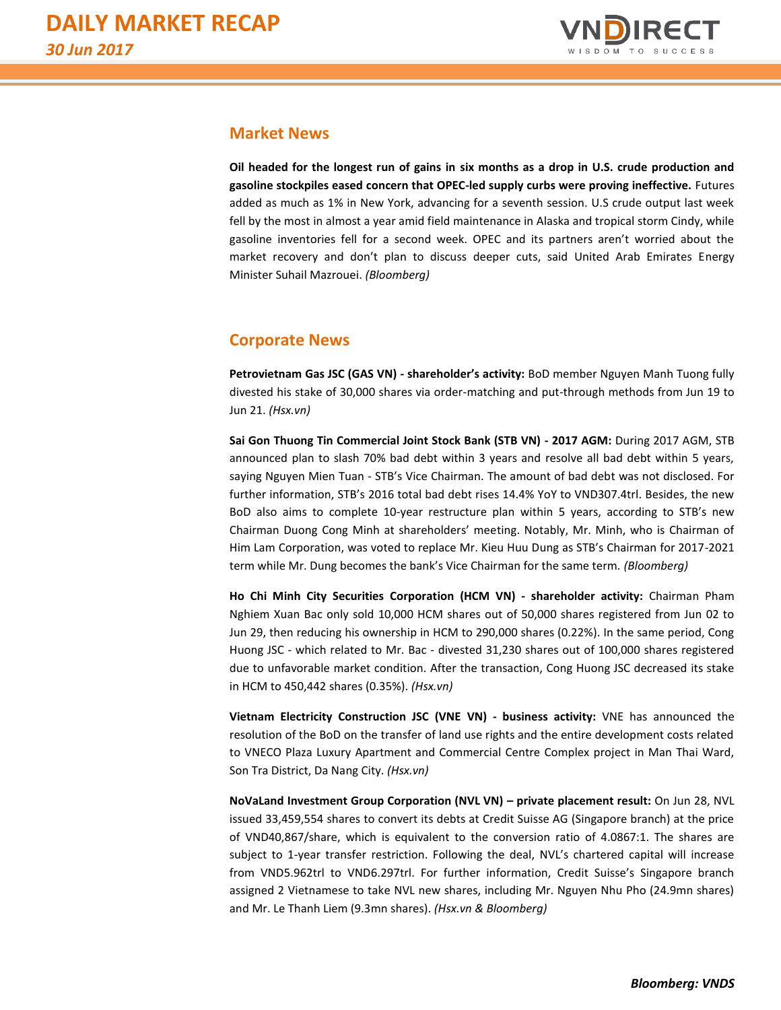

### **Market News**

**Oil headed for the longest run of gains in six months as a drop in U.S. crude production and gasoline stockpiles eased concern that OPEC-led supply curbs were proving ineffective.** Futures added as much as 1% in New York, advancing for a seventh session. U.S crude output last week fell by the most in almost a year amid field maintenance in Alaska and tropical storm Cindy, while gasoline inventories fell for a second week. OPEC and its partners aren't worried about the market recovery and don't plan to discuss deeper cuts, said United Arab Emirates Energy Minister Suhail Mazrouei. *(Bloomberg)*

## **Corporate News**

**Petrovietnam Gas JSC (GAS VN) - shareholder's activity:** BoD member Nguyen Manh Tuong fully divested his stake of 30,000 shares via order-matching and put-through methods from Jun 19 to Jun 21. *(Hsx.vn)*

**Sai Gon Thuong Tin Commercial Joint Stock Bank (STB VN) - 2017 AGM:** During 2017 AGM, STB announced plan to slash 70% bad debt within 3 years and resolve all bad debt within 5 years, saying Nguyen Mien Tuan - STB's Vice Chairman. The amount of bad debt was not disclosed. For further information, STB's 2016 total bad debt rises 14.4% YoY to VND307.4trl. Besides, the new BoD also aims to complete 10-year restructure plan within 5 years, according to STB's new Chairman Duong Cong Minh at shareholders' meeting. Notably, Mr. Minh, who is Chairman of Him Lam Corporation, was voted to replace Mr. Kieu Huu Dung as STB's Chairman for 2017-2021 term while Mr. Dung becomes the bank's Vice Chairman for the same term. *(Bloomberg)*

**Ho Chi Minh City Securities Corporation (HCM VN) - shareholder activity:** Chairman Pham Nghiem Xuan Bac only sold 10,000 HCM shares out of 50,000 shares registered from Jun 02 to Jun 29, then reducing his ownership in HCM to 290,000 shares (0.22%). In the same period, Cong Huong JSC - which related to Mr. Bac - divested 31,230 shares out of 100,000 shares registered due to unfavorable market condition. After the transaction, Cong Huong JSC decreased its stake in HCM to 450,442 shares (0.35%). *(Hsx.vn)*

**Vietnam Electricity Construction JSC (VNE VN) - business activity:** VNE has announced the resolution of the BoD on the transfer of land use rights and the entire development costs related to VNECO Plaza Luxury Apartment and Commercial Centre Complex project in Man Thai Ward, Son Tra District, Da Nang City. *(Hsx.vn)*

**NoVaLand Investment Group Corporation (NVL VN) – private placement result:** On Jun 28, NVL issued 33,459,554 shares to convert its debts at Credit Suisse AG (Singapore branch) at the price of VND40,867/share, which is equivalent to the conversion ratio of 4.0867:1. The shares are subject to 1-year transfer restriction. Following the deal, NVL's chartered capital will increase from VND5.962trl to VND6.297trl. For further information, Credit Suisse's Singapore branch assigned 2 Vietnamese to take NVL new shares, including Mr. Nguyen Nhu Pho (24.9mn shares) and Mr. Le Thanh Liem (9.3mn shares). *(Hsx.vn & Bloomberg)*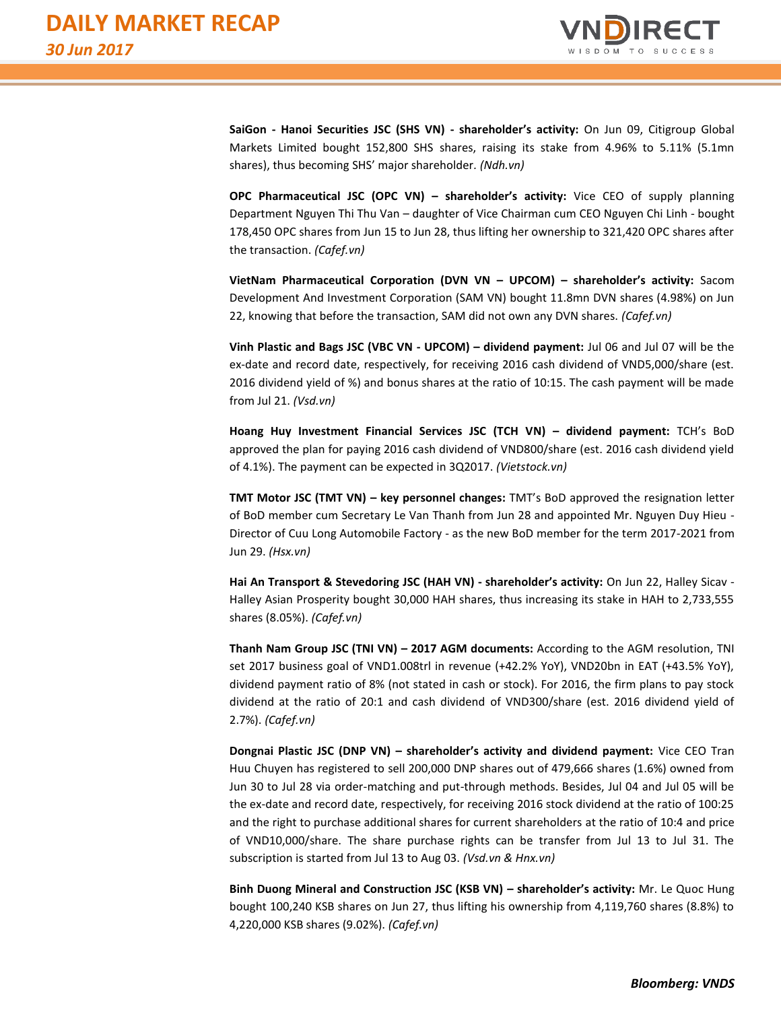

**SaiGon - Hanoi Securities JSC (SHS VN) - shareholder's activity:** On Jun 09, Citigroup Global Markets Limited bought 152,800 SHS shares, raising its stake from 4.96% to 5.11% (5.1mn shares), thus becoming SHS' major shareholder*. (Ndh.vn)*

**OPC Pharmaceutical JSC (OPC VN) – shareholder's activity:** Vice CEO of supply planning Department Nguyen Thi Thu Van – daughter of Vice Chairman cum CEO Nguyen Chi Linh - bought 178,450 OPC shares from Jun 15 to Jun 28, thus lifting her ownership to 321,420 OPC shares after the transaction. *(Cafef.vn)*

**VietNam Pharmaceutical Corporation (DVN VN – UPCOM) – shareholder's activity:** Sacom Development And Investment Corporation (SAM VN) bought 11.8mn DVN shares (4.98%) on Jun 22, knowing that before the transaction, SAM did not own any DVN shares. *(Cafef.vn)*

**Vinh Plastic and Bags JSC (VBC VN - UPCOM) – dividend payment:** Jul 06 and Jul 07 will be the ex-date and record date, respectively, for receiving 2016 cash dividend of VND5,000/share (est. 2016 dividend yield of %) and bonus shares at the ratio of 10:15. The cash payment will be made from Jul 21. *(Vsd.vn)*

**Hoang Huy Investment Financial Services JSC (TCH VN) – dividend payment:** TCH's BoD approved the plan for paying 2016 cash dividend of VND800/share (est. 2016 cash dividend yield of 4.1%). The payment can be expected in 3Q2017. *(Vietstock.vn)*

**TMT Motor JSC (TMT VN) – key personnel changes:** TMT's BoD approved the resignation letter of BoD member cum Secretary Le Van Thanh from Jun 28 and appointed Mr. Nguyen Duy Hieu - Director of Cuu Long Automobile Factory - as the new BoD member for the term 2017-2021 from Jun 29. *(Hsx.vn)*

**Hai An Transport & Stevedoring JSC (HAH VN) - shareholder's activity:** On Jun 22, Halley Sicav - Halley Asian Prosperity bought 30,000 HAH shares, thus increasing its stake in HAH to 2,733,555 shares (8.05%). *(Cafef.vn)*

**Thanh Nam Group JSC (TNI VN) – 2017 AGM documents:** According to the AGM resolution, TNI set 2017 business goal of VND1.008trl in revenue (+42.2% YoY), VND20bn in EAT (+43.5% YoY), dividend payment ratio of 8% (not stated in cash or stock). For 2016, the firm plans to pay stock dividend at the ratio of 20:1 and cash dividend of VND300/share (est. 2016 dividend yield of 2.7%). *(Cafef.vn)*

**Dongnai Plastic JSC (DNP VN) – shareholder's activity and dividend payment:** Vice CEO Tran Huu Chuyen has registered to sell 200,000 DNP shares out of 479,666 shares (1.6%) owned from Jun 30 to Jul 28 via order-matching and put-through methods. Besides, Jul 04 and Jul 05 will be the ex-date and record date, respectively, for receiving 2016 stock dividend at the ratio of 100:25 and the right to purchase additional shares for current shareholders at the ratio of 10:4 and price of VND10,000/share. The share purchase rights can be transfer from Jul 13 to Jul 31. The subscription is started from Jul 13 to Aug 03. *(Vsd.vn & Hnx.vn)*

**Binh Duong Mineral and Construction JSC (KSB VN) – shareholder's activity:** Mr. Le Quoc Hung bought 100,240 KSB shares on Jun 27, thus lifting his ownership from 4,119,760 shares (8.8%) to 4,220,000 KSB shares (9.02%). *(Cafef.vn)*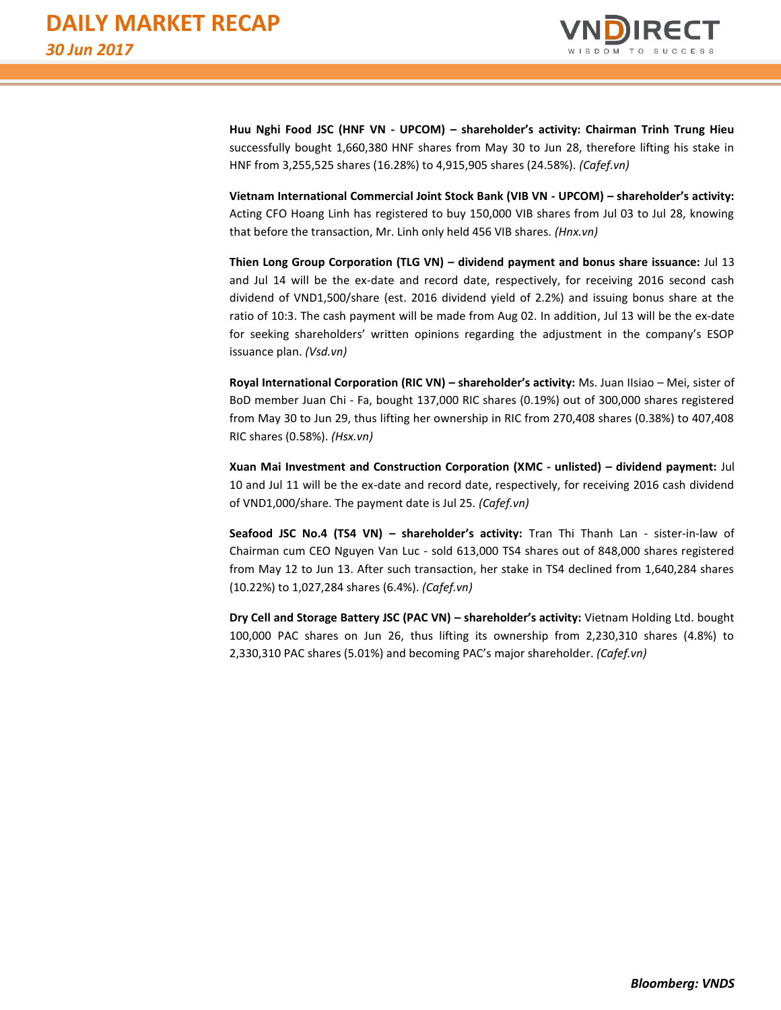

**Huu Nghi Food JSC (HNF VN - UPCOM) – shareholder's activity: Chairman Trinh Trung Hieu** successfully bought 1,660,380 HNF shares from May 30 to Jun 28, therefore lifting his stake in HNF from 3,255,525 shares (16.28%) to 4,915,905 shares (24.58%). *(Cafef.vn)*

**Vietnam International Commercial Joint Stock Bank (VIB VN - UPCOM) – shareholder's activity:** Acting CFO Hoang Linh has registered to buy 150,000 VIB shares from Jul 03 to Jul 28, knowing that before the transaction, Mr. Linh only held 456 VIB shares. *(Hnx.vn)*

**Thien Long Group Corporation (TLG VN) – dividend payment and bonus share issuance:** Jul 13 and Jul 14 will be the ex-date and record date, respectively, for receiving 2016 second cash dividend of VND1,500/share (est. 2016 dividend yield of 2.2%) and issuing bonus share at the ratio of 10:3. The cash payment will be made from Aug 02. In addition, Jul 13 will be the ex-date for seeking shareholders' written opinions regarding the adjustment in the company's ESOP issuance plan. *(Vsd.vn)*

**Royal International Corporation (RIC VN) – shareholder's activity:** Ms. Juan IIsiao – Mei, sister of BoD member Juan Chi - Fa, bought 137,000 RIC shares (0.19%) out of 300,000 shares registered from May 30 to Jun 29, thus lifting her ownership in RIC from 270,408 shares (0.38%) to 407,408 RIC shares (0.58%). *(Hsx.vn)*

**Xuan Mai Investment and Construction Corporation (XMC - unlisted) – dividend payment:** Jul 10 and Jul 11 will be the ex-date and record date, respectively, for receiving 2016 cash dividend of VND1,000/share. The payment date is Jul 25. *(Cafef.vn)*

**Seafood JSC No.4 (TS4 VN) – shareholder's activity:** Tran Thi Thanh Lan - sister-in-law of Chairman cum CEO Nguyen Van Luc - sold 613,000 TS4 shares out of 848,000 shares registered from May 12 to Jun 13. After such transaction, her stake in TS4 declined from 1,640,284 shares (10.22%) to 1,027,284 shares (6.4%). *(Cafef.vn)*

**Dry Cell and Storage Battery JSC (PAC VN) – shareholder's activity:** Vietnam Holding Ltd. bought 100,000 PAC shares on Jun 26, thus lifting its ownership from 2,230,310 shares (4.8%) to 2,330,310 PAC shares (5.01%) and becoming PAC's major shareholder. *(Cafef.vn)*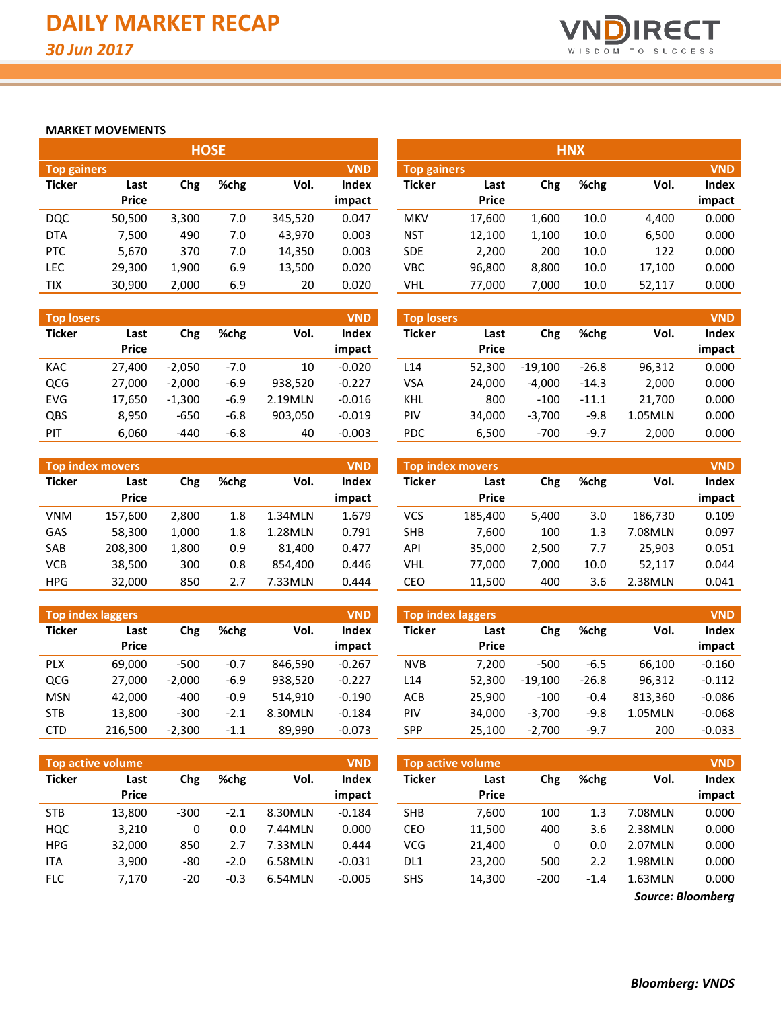

#### **MARKET MOVEMENTS**

|                                  |        |       |      | <b>HOSE</b> |              |  |  |  |  |  |  |  |  |  |  |  |
|----------------------------------|--------|-------|------|-------------|--------------|--|--|--|--|--|--|--|--|--|--|--|
| <b>VND</b><br><b>Top gainers</b> |        |       |      |             |              |  |  |  |  |  |  |  |  |  |  |  |
| <b>Ticker</b>                    | Last   | Chg   | %chg | Vol.        | <b>Index</b> |  |  |  |  |  |  |  |  |  |  |  |
|                                  | Price  |       |      |             | impact       |  |  |  |  |  |  |  |  |  |  |  |
| <b>DOC</b>                       | 50,500 | 3,300 | 7.0  | 345,520     | 0.047        |  |  |  |  |  |  |  |  |  |  |  |
| <b>DTA</b>                       | 7,500  | 490   | 7.0  | 43,970      | 0.003        |  |  |  |  |  |  |  |  |  |  |  |
| <b>PTC</b>                       | 5,670  | 370   | 7.0  | 14,350      | 0.003        |  |  |  |  |  |  |  |  |  |  |  |
| <b>LEC</b>                       | 29,300 | 1,900 | 6.9  | 13,500      | 0.020        |  |  |  |  |  |  |  |  |  |  |  |
| TIX                              | 30,900 | 2,000 | 6.9  | 20          | 0.020        |  |  |  |  |  |  |  |  |  |  |  |

| <b>Top losers</b> |              |          |        |         | <b>VND</b> |
|-------------------|--------------|----------|--------|---------|------------|
| <b>Ticker</b>     | Last         | Chg      | %chg   | Vol.    | Index      |
|                   | <b>Price</b> |          |        |         | impact     |
| KAC               | 27,400       | $-2,050$ | $-7.0$ | 10      | $-0.020$   |
| <b>QCG</b>        | 27,000       | $-2,000$ | $-6.9$ | 938.520 | $-0.227$   |
| EVG               | 17,650       | $-1,300$ | $-6.9$ | 2.19MLN | $-0.016$   |
| <b>QBS</b>        | 8,950        | $-650$   | $-6.8$ | 903,050 | $-0.019$   |
| PIT               | 6,060        | $-440$   | $-6.8$ | 40      | $-0.003$   |

| <b>VND</b><br><b>Top index movers</b> |              |       |      |         |              |  |  |  |  |  |  |  |
|---------------------------------------|--------------|-------|------|---------|--------------|--|--|--|--|--|--|--|
| <b>Ticker</b>                         | Last         | Chg   | %chg | Vol.    | <b>Index</b> |  |  |  |  |  |  |  |
|                                       | <b>Price</b> |       |      |         | impact       |  |  |  |  |  |  |  |
| <b>VNM</b>                            | 157,600      | 2,800 | 1.8  | 1.34MLN | 1.679        |  |  |  |  |  |  |  |
| GAS                                   | 58,300       | 1,000 | 1.8  | 1.28MLN | 0.791        |  |  |  |  |  |  |  |
| <b>SAB</b>                            | 208,300      | 1,800 | 0.9  | 81,400  | 0.477        |  |  |  |  |  |  |  |
| <b>VCB</b>                            | 38,500       | 300   | 0.8  | 854,400 | 0.446        |  |  |  |  |  |  |  |
| <b>HPG</b>                            | 32,000       | 850   | 2.7  | 7.33MLN | 0.444        |  |  |  |  |  |  |  |

|               | <b>Top index laggers</b><br><b>VND</b> |          |        |         |          |  |  |  |  |  |  |  |  |
|---------------|----------------------------------------|----------|--------|---------|----------|--|--|--|--|--|--|--|--|
| <b>Ticker</b> | Last                                   | Chg      | %chg   | Vol.    | Index    |  |  |  |  |  |  |  |  |
|               | Price                                  |          |        |         | impact   |  |  |  |  |  |  |  |  |
| <b>PLX</b>    | 69,000                                 | -500     | $-0.7$ | 846.590 | $-0.267$ |  |  |  |  |  |  |  |  |
| QCG           | 27,000                                 | $-2,000$ | $-6.9$ | 938,520 | $-0.227$ |  |  |  |  |  |  |  |  |
| <b>MSN</b>    | 42,000                                 | $-400$   | $-0.9$ | 514.910 | $-0.190$ |  |  |  |  |  |  |  |  |
| <b>STB</b>    | 13,800                                 | $-300$   | $-2.1$ | 8.30MLN | $-0.184$ |  |  |  |  |  |  |  |  |
| CTD           | 216,500                                | $-2,300$ | $-1.1$ | 89,990  | $-0.073$ |  |  |  |  |  |  |  |  |

| <b>Top active volume</b><br><b>VND</b> |        |        |        |         |              |  |  |  |  |  |  |
|----------------------------------------|--------|--------|--------|---------|--------------|--|--|--|--|--|--|
| <b>Ticker</b>                          | Last   | Chg    | %chg   | Vol.    | <b>Index</b> |  |  |  |  |  |  |
|                                        | Price  |        |        |         | impact       |  |  |  |  |  |  |
| <b>STB</b>                             | 13,800 | $-300$ | $-2.1$ | 8.30MLN | $-0.184$     |  |  |  |  |  |  |
| <b>HOC</b>                             | 3,210  | 0      | 0.0    | 7.44MLN | 0.000        |  |  |  |  |  |  |
| <b>HPG</b>                             | 32,000 | 850    | 2.7    | 7.33MLN | 0.444        |  |  |  |  |  |  |
| ITA                                    | 3,900  | -80    | $-2.0$ | 6.58MLN | $-0.031$     |  |  |  |  |  |  |
| <b>FLC</b>                             | 7,170  | $-20$  | $-0.3$ | 6.54MLN | $-0.005$     |  |  |  |  |  |  |

| <b>HOSE</b>                      |              |       |      |         |              |                                  |              |       | <b>HNX</b> |        |        |
|----------------------------------|--------------|-------|------|---------|--------------|----------------------------------|--------------|-------|------------|--------|--------|
| <b>VND</b><br><b>Top gainers</b> |              |       |      |         |              | <b>VND</b><br><b>Top gainers</b> |              |       |            |        |        |
| Ticker                           | Last         | Chg   | %chg | Vol.    | <b>Index</b> | <b>Ticker</b>                    | Last         | Chg   | %chg       | Vol.   | Index  |
|                                  | <b>Price</b> |       |      |         | impact       |                                  | <b>Price</b> |       |            |        | impact |
| DQC                              | 50,500       | 3,300 | 7.0  | 345,520 | 0.047        | <b>MKV</b>                       | 17,600       | 1.600 | 10.0       | 4.400  | 0.000  |
| <b>DTA</b>                       | 7,500        | 490   | 7.0  | 43,970  | 0.003        | <b>NST</b>                       | 12,100       | 1,100 | 10.0       | 6,500  | 0.000  |
| PTC                              | 5,670        | 370   | 7.0  | 14,350  | 0.003        | <b>SDE</b>                       | 2,200        | 200   | 10.0       | 122    | 0.000  |
| LEC                              | 29,300       | 1,900 | 6.9  | 13,500  | 0.020        | <b>VBC</b>                       | 96,800       | 8,800 | 10.0       | 17,100 | 0.000  |
| TIX                              | 30,900       | 2,000 | 6.9  | 20      | 0.020        | VHL                              | 77.000       | 7,000 | 10.0       | 52,117 | 0.000  |

| <b>Top losers</b> |                      |          |        |         | <b>VND</b>             | <b>Top losers</b> |                      |           |         |         | <b>VND</b>      |
|-------------------|----------------------|----------|--------|---------|------------------------|-------------------|----------------------|-----------|---------|---------|-----------------|
| Ticker            | Last<br><b>Price</b> | Chg      | %chg   | Vol.    | <b>Index</b><br>impact | Ticker            | Last<br><b>Price</b> | Chg       | %chg    | Vol.    | Index<br>impact |
| KAC               | 27.400               | $-2.050$ | -7.0   | 10      | $-0.020$               | L14               | 52.300               | $-19.100$ | $-26.8$ | 96,312  | 0.000           |
| QCG               | 27.000               | $-2.000$ | $-6.9$ | 938,520 | $-0.227$               | VSA               | 24.000               | $-4.000$  | $-14.3$ | 2,000   | 0.000           |
| EVG               | 17,650               | $-1,300$ | $-6.9$ | 2.19MLN | $-0.016$               | KHL               | 800                  | $-100$    | $-11.1$ | 21.700  | 0.000           |
| QBS               | 8,950                | $-650$   | $-6.8$ | 903,050 | $-0.019$               | PIV               | 34.000               | $-3.700$  | $-9.8$  | 1.05MLN | 0.000           |
| PIT               | 6.060                | $-440$   | $-6.8$ | 40      | $-0.003$               | PDC               | 6,500                | $-700$    | $-9.7$  | 2.000   | 0.000           |

|            | <b>Top index movers</b> |       |      |         | <b>VND</b> | <b>Top index movers</b> |              |       |      |         |        |
|------------|-------------------------|-------|------|---------|------------|-------------------------|--------------|-------|------|---------|--------|
| Ticker     | Last                    | Chg   | %chg | Vol.    | Index      | <b>Ticker</b>           | Last         | Chg   | %chg | Vol.    | Index  |
|            | <b>Price</b>            |       |      |         | impact     |                         | <b>Price</b> |       |      |         | impact |
| VNM        | 157,600                 | 2,800 | 1.8  | 1.34MLN | 1.679      | VCS                     | 185.400      | 5,400 | 3.0  | 186.730 | 0.109  |
| GAS        | 58,300                  | 1,000 | 1.8  | 1.28MLN | 0.791      | <b>SHB</b>              | 7,600        | 100   | 1.3  | 7.08MLN | 0.097  |
| SAB        | 208,300                 | 1,800 | 0.9  | 81.400  | 0.477      | API                     | 35.000       | 2.500 | 7.7  | 25.903  | 0.051  |
| VCB        | 38,500                  | 300   | 0.8  | 854.400 | 0.446      | VHL                     | 77.000       | 7.000 | 10.0 | 52,117  | 0.044  |
| <b>HPG</b> | 32,000                  | 850   | 2.7  | 7.33MLN | 0.444      | CEO                     | 11,500       | 400   | 3.6  | 2.38MLN | 0.041  |

|            | <b>Top index laggers</b> |          |        |         | <b>VND</b>             | Top index laggers |                      |           |         |         | <b>VND</b>      |
|------------|--------------------------|----------|--------|---------|------------------------|-------------------|----------------------|-----------|---------|---------|-----------------|
| Ticker     | Last<br><b>Price</b>     | Chg      | %chg   | Vol.    | <b>Index</b><br>impact | <b>Ticker</b>     | Last<br><b>Price</b> | Chg       | %chg    | Vol.    | Index<br>impact |
| <b>PLX</b> | 69.000                   | $-500$   | $-0.7$ | 846.590 | $-0.267$               | <b>NVB</b>        | 7.200                | $-500$    | $-6.5$  | 66.100  | $-0.160$        |
| QCG        | 27,000                   | $-2.000$ | -6.9   | 938,520 | $-0.227$               | L14               | 52.300               | $-19.100$ | $-26.8$ | 96,312  | $-0.112$        |
| <b>MSN</b> | 42.000                   | $-400$   | -0.9   | 514.910 | $-0.190$               | ACB               | 25.900               | $-100$    | $-0.4$  | 813.360 | $-0.086$        |
| STB        | 13,800                   | $-300$   | $-2.1$ | 8.30MLN | $-0.184$               | PIV               | 34.000               | $-3,700$  | -9.8    | 1.05MLN | $-0.068$        |
| CTD        | 216,500                  | $-2,300$ | $-1.1$ | 89,990  | $-0.073$               | <b>SPP</b>        | 25,100               | $-2,700$  | $-9.7$  | 200     | $-0.033$        |

|            | Top active volume    |        |              |         | <b>VND</b>      | <b>VND</b><br><b>Top active volume</b> |                      |        |        |         |                 |  |  |
|------------|----------------------|--------|--------------|---------|-----------------|----------------------------------------|----------------------|--------|--------|---------|-----------------|--|--|
| Ticker     | Last<br><b>Price</b> | Chg    | %chg<br>Vol. |         | Index<br>impact | Ticker                                 | Last<br><b>Price</b> | Chg    | %chg   | Vol.    | Index<br>impact |  |  |
|            |                      |        |              |         |                 |                                        |                      |        |        |         |                 |  |  |
| <b>STB</b> | 13,800               | $-300$ | $-2.1$       | 8.30MLN | $-0.184$        | <b>SHB</b>                             | 7.600                | 100    | 1.3    | 7.08MLN | 0.000           |  |  |
| HQC        | 3,210                |        | 0.0          | 7.44MLN | 0.000           | CEO                                    | 11,500               | 400    | 3.6    | 2.38MLN | 0.000           |  |  |
| <b>HPG</b> | 32,000               | 850    | 2.7          | 7.33MLN | 0.444           | <b>VCG</b>                             | 21,400               |        | 0.0    | 2.07MLN | 0.000           |  |  |
| <b>ITA</b> | 3,900                | -80    | $-2.0$       | 6.58MLN | $-0.031$        | DL1                                    | 23.200               | 500    | 2.2    | 1.98MLN | 0.000           |  |  |
| <b>FLC</b> | 7.170                | $-20$  | $-0.3$       | 6.54MLN | $-0.005$        | <b>SHS</b>                             | 14,300               | $-200$ | $-1.4$ | 1.63MLN | 0.000           |  |  |

*Source: Bloomberg*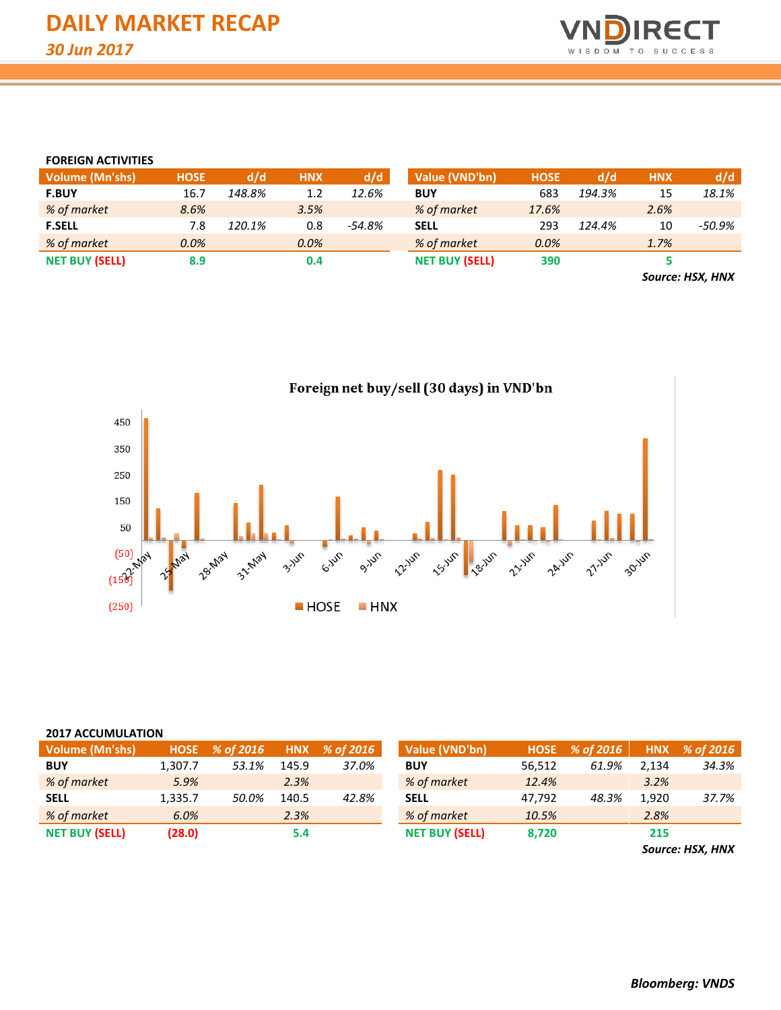

#### **FOREIGN ACTIVITIES**

| <b>Volume (Mn'shs)</b> | <b>HOSE</b> | d/d    | <b>HNX</b> | d/d    | Value (VND'bn)        | <b>HOSE</b> | d/d    | <b>HNX</b> | d/d    |
|------------------------|-------------|--------|------------|--------|-----------------------|-------------|--------|------------|--------|
| <b>F.BUY</b>           | 16.7        | 148.8% | 1.2        | 12.6%  | <b>BUY</b>            | 683         | 194.3% | 15         | 18.1%  |
| % of market            | 8.6%        |        | 3.5%       |        | % of market           | 17.6%       |        | 2.6%       |        |
| <b>F.SELL</b>          | 7.8         | 120.1% | 0.8        | -54.8% | <b>SELL</b>           | 293         | 124.4% | 10         | -50.9% |
| % of market            | 0.0%        |        | $0.0\%$    |        | % of market           | 0.0%        |        | 1.7%       |        |
| <b>NET BUY (SELL)</b>  | 8.9         |        | 0.4        |        | <b>NET BUY (SELL)</b> | 390         |        |            |        |
|                        |             |        |            |        |                       |             |        |            |        |

*Source: HSX, HNX*



#### **2017 ACCUMULATION**

| Volume (Mn'shs)       |         | $HOSE \quad % of 2016$ | <b>HNX</b> | % of 2016 | Value (VND'bn)        |        | $HOSE \quad % of 2016$ |       | HNX % of 2016 |
|-----------------------|---------|------------------------|------------|-----------|-----------------------|--------|------------------------|-------|---------------|
| <b>BUY</b>            | 1.307.7 | 53.1%                  | 145.9      | 37.0%     | <b>BUY</b>            | 56,512 | 61.9%                  | 2.134 | 34.3%         |
| % of market           | 5.9%    |                        | 2.3%       |           | % of market           | 12.4%  |                        | 3.2%  |               |
| <b>SELL</b>           | 1,335.7 | 50.0%                  | 140.5      | 42.8%     | <b>SELL</b>           | 47,792 | 48.3%                  | 1,920 | 37.7%         |
| % of market           | 6.0%    |                        | 2.3%       |           | % of market           | 10.5%  |                        | 2.8%  |               |
| <b>NET BUY (SELL)</b> | (28.0)  |                        | 5.4        |           | <b>NET BUY (SELL)</b> | 8.720  |                        | 215   |               |

*Source: HSX, HNX*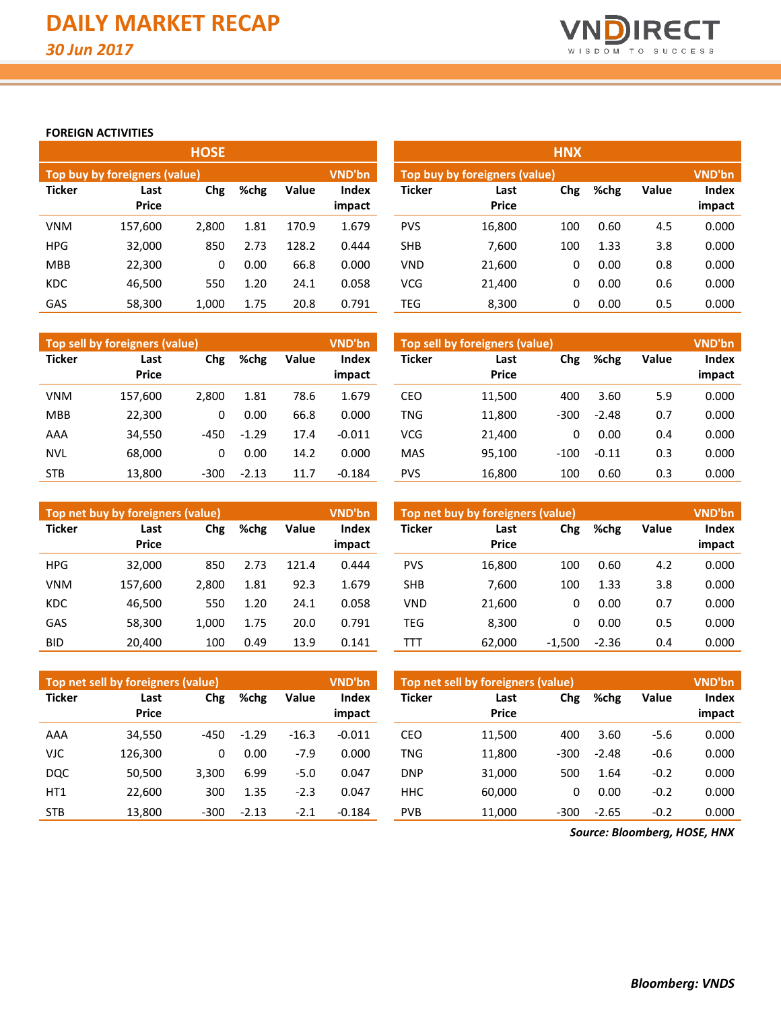

#### **FOREIGN ACTIVITIES**

|               |                               | <b>HOSE</b> |      |       |                        | <b>HNX</b>    |                               |     |      |       |                 |  |  |  |
|---------------|-------------------------------|-------------|------|-------|------------------------|---------------|-------------------------------|-----|------|-------|-----------------|--|--|--|
|               | Top buy by foreigners (value) |             |      |       | <b>VND'bn</b>          |               | Top buy by foreigners (value) |     |      |       |                 |  |  |  |
| <b>Ticker</b> | Last<br><b>Price</b>          | Chg         | %chg | Value | <b>Index</b><br>impact | <b>Ticker</b> | Last<br><b>Price</b>          | Chg | %chg | Value | Index<br>impact |  |  |  |
| <b>VNM</b>    | 157,600                       | 2.800       | 1.81 | 170.9 | 1.679                  | <b>PVS</b>    | 16,800                        | 100 | 0.60 | 4.5   | 0.000           |  |  |  |
| <b>HPG</b>    | 32,000                        | 850         | 2.73 | 128.2 | 0.444                  | <b>SHB</b>    | 7,600                         | 100 | 1.33 | 3.8   | 0.000           |  |  |  |
| <b>MBB</b>    | 22,300                        | 0           | 0.00 | 66.8  | 0.000                  | <b>VND</b>    | 21,600                        | 0   | 0.00 | 0.8   | 0.000           |  |  |  |
| <b>KDC</b>    | 46,500                        | 550         | 1.20 | 24.1  | 0.058                  | <b>VCG</b>    | 21,400                        | 0   | 0.00 | 0.6   | 0.000           |  |  |  |
| GAS           | 58,300                        | 1.000       | 1.75 | 20.8  | 0.791                  | TEG           | 8.300                         | 0   | 0.00 | 0.5   | 0.000           |  |  |  |

|               | Top sell by foreigners (value)      |        |         |                        | <b>VND'bn</b> | Top sell by foreigners (value) |        |        |         |                 |       |
|---------------|-------------------------------------|--------|---------|------------------------|---------------|--------------------------------|--------|--------|---------|-----------------|-------|
| <b>Ticker</b> | Chg<br>%chg<br>Last<br><b>Price</b> |        | Value   | <b>Index</b><br>impact | Ticker        | Last<br><b>Price</b>           | Chg    | %chg   | Value   | Index<br>impact |       |
| <b>VNM</b>    | 157,600                             | 2.800  | 1.81    | 78.6                   | 1.679         | CEO                            | 11,500 | 400    | 3.60    | 5.9             | 0.000 |
| <b>MBB</b>    | 22,300                              | 0      | 0.00    | 66.8                   | 0.000         | <b>TNG</b>                     | 11,800 | $-300$ | $-2.48$ | 0.7             | 0.000 |
| AAA           | 34,550                              | $-450$ | $-1.29$ | 17.4                   | $-0.011$      | <b>VCG</b>                     | 21.400 | 0      | 0.00    | 0.4             | 0.000 |
| <b>NVL</b>    | 68.000                              | 0      | 0.00    | 14.2                   | 0.000         | <b>MAS</b>                     | 95.100 | $-100$ | $-0.11$ | 0.3             | 0.000 |
| <b>STB</b>    | 13.800                              | $-300$ | $-2.13$ | 11.7                   | $-0.184$      | <b>PVS</b>                     | 16,800 | 100    | 0.60    | 0.3             | 0.000 |

|               | Top net buy by foreigners (value)   |       |       |                 | <b>VND'bn</b> | Top net buy by foreigners (value) | <b>VND'bn</b> |          |              |                 |       |
|---------------|-------------------------------------|-------|-------|-----------------|---------------|-----------------------------------|---------------|----------|--------------|-----------------|-------|
| <b>Ticker</b> | Chg<br>%chg<br>Last<br><b>Price</b> |       | Value | Index<br>impact | <b>Ticker</b> | Last<br><b>Price</b>              | Chg           | %chg     | <b>Value</b> | Index<br>impact |       |
| <b>HPG</b>    | 32,000                              | 850   | 2.73  | 121.4           | 0.444         | <b>PVS</b>                        | 16.800        | 100      | 0.60         | 4.2             | 0.000 |
| <b>VNM</b>    | 157.600                             | 2.800 | 1.81  | 92.3            | 1.679         | <b>SHB</b>                        | 7.600         | 100      | 1.33         | 3.8             | 0.000 |
| <b>KDC</b>    | 46,500                              | 550   | 1.20  | 24.1            | 0.058         | <b>VND</b>                        | 21.600        | 0        | 0.00         | 0.7             | 0.000 |
| GAS           | 58,300                              | 1.000 | 1.75  | 20.0            | 0.791         | TEG                               | 8,300         | 0        | 0.00         | 0.5             | 0.000 |
| <b>BID</b>    | 20,400                              | 100   | 0.49  | 13.9            | 0.141         | TTT                               | 62,000        | $-1,500$ | $-2.36$      | 0.4             | 0.000 |

|                 | Top net sell by foreigners (value) |        |         |         | VND'bn                 | Top net sell by foreigners (value) | <b>VND'bn</b>               |        |         |              |                 |
|-----------------|------------------------------------|--------|---------|---------|------------------------|------------------------------------|-----------------------------|--------|---------|--------------|-----------------|
| <b>Ticker</b>   | Last<br><b>Price</b>               | Chg    | %chg    | Value   | <b>Index</b><br>impact | <b>Ticker</b>                      | Chg<br>Last<br><b>Price</b> |        | %chg    | <b>Value</b> | Index<br>impact |
| AAA             | 34,550                             | $-450$ | $-1.29$ | $-16.3$ | $-0.011$               | CEO                                | 11,500                      | 400    | 3.60    | $-5.6$       | 0.000           |
| VJC             | 126,300                            | 0      | 0.00    | $-7.9$  | 0.000                  | TNG                                | 11,800                      | -300   | $-2.48$ | $-0.6$       | 0.000           |
| <b>DQC</b>      | 50.500                             | 3.300  | 6.99    | $-5.0$  | 0.047                  | <b>DNP</b>                         | 31,000                      | 500    | 1.64    | $-0.2$       | 0.000           |
| HT <sub>1</sub> | 22.600                             | 300    | 1.35    | $-2.3$  | 0.047                  | <b>HHC</b>                         | 60.000                      | 0      | 0.00    | $-0.2$       | 0.000           |
| <b>STB</b>      | 13,800                             | $-300$ | $-2.13$ | $-2.1$  | $-0.184$               | <b>PVB</b>                         | 11,000                      | $-300$ | $-2.65$ | $-0.2$       | 0.000           |

*Source: Bloomberg, HOSE, HNX*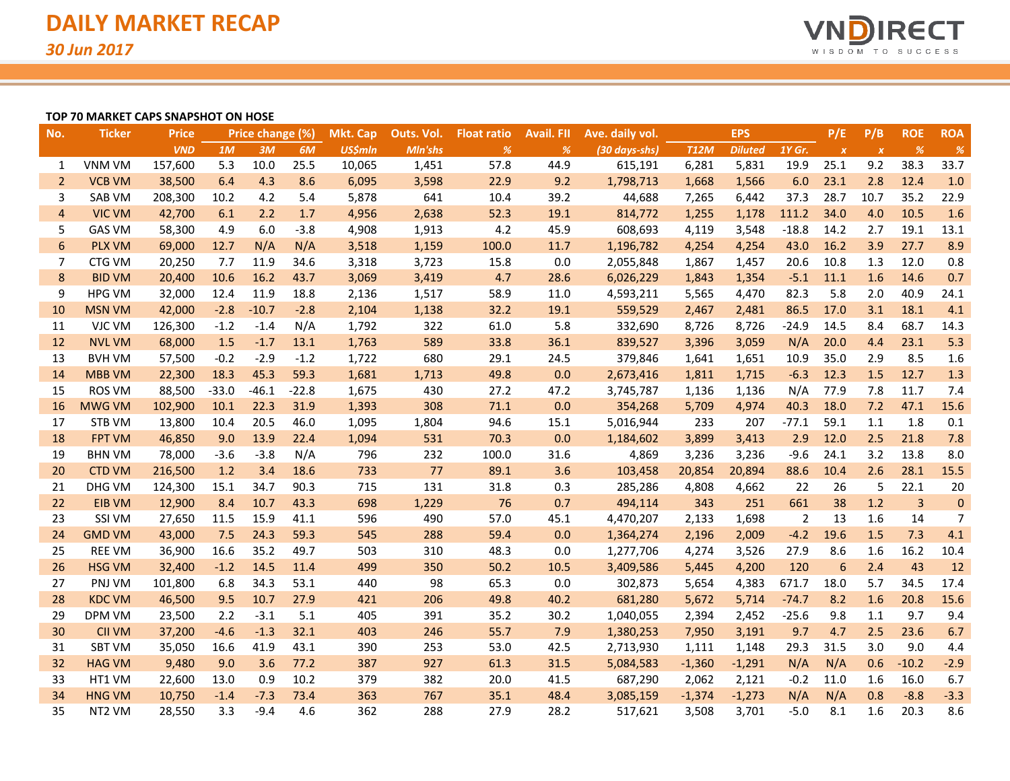

#### **TOP 70 MARKET CAPS SNAPSHOT ON HOSE**

| No.            | <b>Ticker</b>      | <b>Price</b> |         | Price change (%) |         | <b>Mkt. Cap</b> | Outs. Vol. | <b>Float ratio</b> | <b>Avail. FII</b> | Ave. daily vol. |             | <b>EPS</b>     |         | P/E              | P/B              | <b>ROE</b>     | <b>ROA</b>     |
|----------------|--------------------|--------------|---------|------------------|---------|-----------------|------------|--------------------|-------------------|-----------------|-------------|----------------|---------|------------------|------------------|----------------|----------------|
|                |                    | <b>VND</b>   | 1M      | 3M               | 6M      | <b>US\$mln</b>  | Mln'shs    | $\%$               | %                 | (30 days-shs)   | <b>T12M</b> | <b>Diluted</b> | 1Y Gr.  | $\boldsymbol{x}$ | $\boldsymbol{x}$ | %              | $\%$           |
| 1              | VNM VM             | 157,600      | 5.3     | 10.0             | 25.5    | 10,065          | 1,451      | 57.8               | 44.9              | 615,191         | 6,281       | 5,831          | 19.9    | 25.1             | 9.2              | 38.3           | 33.7           |
| $\overline{2}$ | <b>VCB VM</b>      | 38,500       | 6.4     | 4.3              | 8.6     | 6,095           | 3,598      | 22.9               | 9.2               | 1,798,713       | 1,668       | 1,566          | 6.0     | 23.1             | 2.8              | 12.4           | 1.0            |
| 3              | SAB VM             | 208,300      | 10.2    | 4.2              | 5.4     | 5,878           | 641        | 10.4               | 39.2              | 44,688          | 7,265       | 6,442          | 37.3    | 28.7             | 10.7             | 35.2           | 22.9           |
| $\overline{4}$ | <b>VIC VM</b>      | 42,700       | 6.1     | 2.2              | 1.7     | 4,956           | 2,638      | 52.3               | 19.1              | 814,772         | 1,255       | 1,178          | 111.2   | 34.0             | 4.0              | 10.5           | 1.6            |
| 5              | <b>GAS VM</b>      | 58,300       | 4.9     | 6.0              | $-3.8$  | 4,908           | 1,913      | 4.2                | 45.9              | 608,693         | 4,119       | 3,548          | $-18.8$ | 14.2             | 2.7              | 19.1           | 13.1           |
| 6              | <b>PLX VM</b>      | 69,000       | 12.7    | N/A              | N/A     | 3,518           | 1,159      | 100.0              | 11.7              | 1,196,782       | 4,254       | 4,254          | 43.0    | 16.2             | 3.9              | 27.7           | 8.9            |
| 7              | CTG VM             | 20,250       | 7.7     | 11.9             | 34.6    | 3,318           | 3,723      | 15.8               | 0.0               | 2,055,848       | 1,867       | 1,457          | 20.6    | 10.8             | 1.3              | 12.0           | 0.8            |
| 8              | <b>BID VM</b>      | 20,400       | 10.6    | 16.2             | 43.7    | 3,069           | 3,419      | 4.7                | 28.6              | 6,026,229       | 1,843       | 1,354          | $-5.1$  | 11.1             | 1.6              | 14.6           | 0.7            |
| 9              | <b>HPG VM</b>      | 32,000       | 12.4    | 11.9             | 18.8    | 2,136           | 1,517      | 58.9               | 11.0              | 4,593,211       | 5,565       | 4,470          | 82.3    | 5.8              | 2.0              | 40.9           | 24.1           |
| 10             | <b>MSN VM</b>      | 42,000       | $-2.8$  | $-10.7$          | $-2.8$  | 2,104           | 1,138      | 32.2               | 19.1              | 559,529         | 2,467       | 2,481          | 86.5    | 17.0             | 3.1              | 18.1           | 4.1            |
| 11             | VJC VM             | 126,300      | $-1.2$  | $-1.4$           | N/A     | 1,792           | 322        | 61.0               | 5.8               | 332,690         | 8,726       | 8,726          | $-24.9$ | 14.5             | 8.4              | 68.7           | 14.3           |
| 12             | <b>NVL VM</b>      | 68,000       | 1.5     | $-1.7$           | 13.1    | 1,763           | 589        | 33.8               | 36.1              | 839,527         | 3,396       | 3,059          | N/A     | 20.0             | 4.4              | 23.1           | 5.3            |
| 13             | <b>BVH VM</b>      | 57,500       | $-0.2$  | $-2.9$           | $-1.2$  | 1,722           | 680        | 29.1               | 24.5              | 379,846         | 1,641       | 1,651          | 10.9    | 35.0             | 2.9              | 8.5            | 1.6            |
| 14             | <b>MBB VM</b>      | 22,300       | 18.3    | 45.3             | 59.3    | 1,681           | 1,713      | 49.8               | 0.0               | 2,673,416       | 1,811       | 1,715          | $-6.3$  | 12.3             | 1.5              | 12.7           | 1.3            |
| 15             | ROS VM             | 88,500       | $-33.0$ | $-46.1$          | $-22.8$ | 1,675           | 430        | 27.2               | 47.2              | 3,745,787       | 1,136       | 1,136          | N/A     | 77.9             | 7.8              | 11.7           | 7.4            |
| 16             | <b>MWG VM</b>      | 102,900      | 10.1    | 22.3             | 31.9    | 1,393           | 308        | 71.1               | 0.0               | 354,268         | 5,709       | 4,974          | 40.3    | 18.0             | 7.2              | 47.1           | 15.6           |
| 17             | STB VM             | 13,800       | 10.4    | 20.5             | 46.0    | 1,095           | 1,804      | 94.6               | 15.1              | 5,016,944       | 233         | 207            | $-77.1$ | 59.1             | 1.1              | 1.8            | 0.1            |
| 18             | <b>FPT VM</b>      | 46,850       | 9.0     | 13.9             | 22.4    | 1,094           | 531        | 70.3               | 0.0               | 1,184,602       | 3,899       | 3,413          | 2.9     | 12.0             | 2.5              | 21.8           | 7.8            |
| 19             | <b>BHN VM</b>      | 78,000       | $-3.6$  | $-3.8$           | N/A     | 796             | 232        | 100.0              | 31.6              | 4,869           | 3,236       | 3,236          | $-9.6$  | 24.1             | 3.2              | 13.8           | 8.0            |
| 20             | <b>CTD VM</b>      | 216,500      | 1.2     | 3.4              | 18.6    | 733             | 77         | 89.1               | 3.6               | 103,458         | 20,854      | 20,894         | 88.6    | 10.4             | 2.6              | 28.1           | 15.5           |
| 21             | DHG VM             | 124,300      | 15.1    | 34.7             | 90.3    | 715             | 131        | 31.8               | 0.3               | 285,286         | 4,808       | 4,662          | 22      | 26               | 5                | 22.1           | 20             |
| 22             | <b>EIB VM</b>      | 12,900       | 8.4     | 10.7             | 43.3    | 698             | 1,229      | 76                 | 0.7               | 494,114         | 343         | 251            | 661     | 38               | $1.2$            | $\overline{3}$ | $\pmb{0}$      |
| 23             | <b>SSI VM</b>      | 27,650       | 11.5    | 15.9             | 41.1    | 596             | 490        | 57.0               | 45.1              | 4,470,207       | 2,133       | 1,698          | 2       | 13               | 1.6              | 14             | $\overline{7}$ |
| 24             | <b>GMD VM</b>      | 43,000       | 7.5     | 24.3             | 59.3    | 545             | 288        | 59.4               | 0.0               | 1,364,274       | 2,196       | 2,009          | $-4.2$  | 19.6             | 1.5              | 7.3            | 4.1            |
| 25             | <b>REE VM</b>      | 36,900       | 16.6    | 35.2             | 49.7    | 503             | 310        | 48.3               | 0.0               | 1,277,706       | 4,274       | 3,526          | 27.9    | 8.6              | 1.6              | 16.2           | 10.4           |
| 26             | <b>HSG VM</b>      | 32,400       | $-1.2$  | 14.5             | 11.4    | 499             | 350        | 50.2               | 10.5              | 3,409,586       | 5,445       | 4,200          | 120     | 6                | 2.4              | 43             | 12             |
| 27             | PNJ VM             | 101,800      | 6.8     | 34.3             | 53.1    | 440             | 98         | 65.3               | 0.0               | 302,873         | 5,654       | 4,383          | 671.7   | 18.0             | 5.7              | 34.5           | 17.4           |
| 28             | <b>KDC VM</b>      | 46,500       | 9.5     | 10.7             | 27.9    | 421             | 206        | 49.8               | 40.2              | 681,280         | 5,672       | 5,714          | $-74.7$ | 8.2              | 1.6              | 20.8           | 15.6           |
| 29             | DPM VM             | 23,500       | 2.2     | $-3.1$           | 5.1     | 405             | 391        | 35.2               | 30.2              | 1,040,055       | 2,394       | 2,452          | $-25.6$ | 9.8              | 1.1              | 9.7            | 9.4            |
| 30             | <b>CII VM</b>      | 37,200       | $-4.6$  | $-1.3$           | 32.1    | 403             | 246        | 55.7               | 7.9               | 1,380,253       | 7,950       | 3,191          | 9.7     | 4.7              | 2.5              | 23.6           | 6.7            |
| 31             | <b>SBT VM</b>      | 35,050       | 16.6    | 41.9             | 43.1    | 390             | 253        | 53.0               | 42.5              | 2,713,930       | 1,111       | 1,148          | 29.3    | 31.5             | 3.0              | 9.0            | 4.4            |
| 32             | <b>HAG VM</b>      | 9,480        | 9.0     | 3.6              | 77.2    | 387             | 927        | 61.3               | 31.5              | 5,084,583       | $-1,360$    | $-1,291$       | N/A     | N/A              | 0.6              | $-10.2$        | $-2.9$         |
| 33             | HT1 VM             | 22,600       | 13.0    | 0.9              | 10.2    | 379             | 382        | 20.0               | 41.5              | 687,290         | 2,062       | 2,121          | $-0.2$  | 11.0             | 1.6              | 16.0           | 6.7            |
| 34             | <b>HNG VM</b>      | 10,750       | $-1.4$  | $-7.3$           | 73.4    | 363             | 767        | 35.1               | 48.4              | 3,085,159       | $-1,374$    | $-1,273$       | N/A     | N/A              | 0.8              | $-8.8$         | $-3.3$         |
| 35             | NT <sub>2</sub> VM | 28,550       | 3.3     | $-9.4$           | 4.6     | 362             | 288        | 27.9               | 28.2              | 517,621         | 3,508       | 3,701          | $-5.0$  | 8.1              | 1.6              | 20.3           | 8.6            |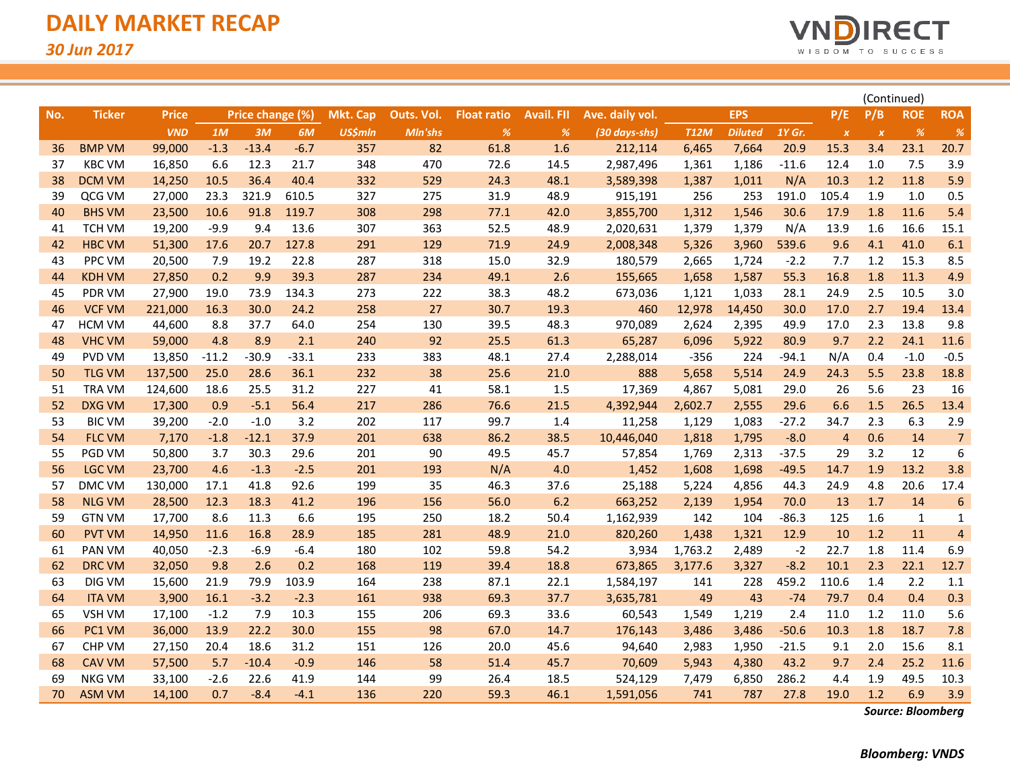

|     |               |              |         |                  |         |                 |            |                    |                   |                 |             |                |         |                  |                           | (Continued)   |                |
|-----|---------------|--------------|---------|------------------|---------|-----------------|------------|--------------------|-------------------|-----------------|-------------|----------------|---------|------------------|---------------------------|---------------|----------------|
| No. | <b>Ticker</b> | <b>Price</b> |         | Price change (%) |         | <b>Mkt. Cap</b> | Outs. Vol. | <b>Float ratio</b> | <b>Avail. FII</b> | Ave. daily vol. |             | <b>EPS</b>     |         | P/E              | P/B                       | <b>ROE</b>    | <b>ROA</b>     |
|     |               | <b>VND</b>   | 1M      | 3M               | 6M      | <b>US\$mln</b>  | Mln'shs    | %                  | %                 | (30 days-shs)   | <b>T12M</b> | <b>Diluted</b> | 1Y Gr.  | $\boldsymbol{X}$ | $\boldsymbol{\mathsf{x}}$ | $\frac{9}{6}$ | %              |
| 36  | <b>BMP VM</b> | 99,000       | $-1.3$  | $-13.4$          | $-6.7$  | 357             | 82         | 61.8               | 1.6               | 212,114         | 6,465       | 7,664          | 20.9    | 15.3             | 3.4                       | 23.1          | 20.7           |
| 37  | <b>KBC VM</b> | 16,850       | 6.6     | 12.3             | 21.7    | 348             | 470        | 72.6               | 14.5              | 2,987,496       | 1,361       | 1,186          | $-11.6$ | 12.4             | 1.0                       | 7.5           | 3.9            |
| 38  | <b>DCM VM</b> | 14,250       | 10.5    | 36.4             | 40.4    | 332             | 529        | 24.3               | 48.1              | 3,589,398       | 1,387       | 1,011          | N/A     | 10.3             | 1.2                       | 11.8          | 5.9            |
| 39  | QCG VM        | 27,000       | 23.3    | 321.9            | 610.5   | 327             | 275        | 31.9               | 48.9              | 915,191         | 256         | 253            | 191.0   | 105.4            | 1.9                       | 1.0           | 0.5            |
| 40  | <b>BHS VM</b> | 23,500       | 10.6    | 91.8             | 119.7   | 308             | 298        | 77.1               | 42.0              | 3,855,700       | 1,312       | 1,546          | 30.6    | 17.9             | 1.8                       | 11.6          | 5.4            |
| 41  | <b>TCH VM</b> | 19,200       | $-9.9$  | 9.4              | 13.6    | 307             | 363        | 52.5               | 48.9              | 2,020,631       | 1,379       | 1,379          | N/A     | 13.9             | 1.6                       | 16.6          | 15.1           |
| 42  | <b>HBC VM</b> | 51,300       | 17.6    | 20.7             | 127.8   | 291             | 129        | 71.9               | 24.9              | 2,008,348       | 5,326       | 3,960          | 539.6   | 9.6              | 4.1                       | 41.0          | 6.1            |
| 43  | PPC VM        | 20,500       | 7.9     | 19.2             | 22.8    | 287             | 318        | 15.0               | 32.9              | 180,579         | 2,665       | 1,724          | $-2.2$  | 7.7              | 1.2                       | 15.3          | 8.5            |
| 44  | <b>KDH VM</b> | 27,850       | 0.2     | 9.9              | 39.3    | 287             | 234        | 49.1               | 2.6               | 155,665         | 1,658       | 1,587          | 55.3    | 16.8             | 1.8                       | 11.3          | 4.9            |
| 45  | PDR VM        | 27,900       | 19.0    | 73.9             | 134.3   | 273             | 222        | 38.3               | 48.2              | 673,036         | 1,121       | 1,033          | 28.1    | 24.9             | 2.5                       | 10.5          | 3.0            |
| 46  | <b>VCF VM</b> | 221,000      | 16.3    | 30.0             | 24.2    | 258             | 27         | 30.7               | 19.3              | 460             | 12,978      | 14,450         | 30.0    | 17.0             | 2.7                       | 19.4          | 13.4           |
| 47  | HCM VM        | 44,600       | 8.8     | 37.7             | 64.0    | 254             | 130        | 39.5               | 48.3              | 970,089         | 2,624       | 2,395          | 49.9    | 17.0             | 2.3                       | 13.8          | 9.8            |
| 48  | <b>VHC VM</b> | 59,000       | 4.8     | 8.9              | 2.1     | 240             | 92         | 25.5               | 61.3              | 65,287          | 6,096       | 5,922          | 80.9    | 9.7              | 2.2                       | 24.1          | 11.6           |
| 49  | PVD VM        | 13,850       | $-11.2$ | $-30.9$          | $-33.1$ | 233             | 383        | 48.1               | 27.4              | 2,288,014       | $-356$      | 224            | $-94.1$ | N/A              | 0.4                       | $-1.0$        | $-0.5$         |
| 50  | <b>TLG VM</b> | 137,500      | 25.0    | 28.6             | 36.1    | 232             | 38         | 25.6               | 21.0              | 888             | 5,658       | 5,514          | 24.9    | 24.3             | 5.5                       | 23.8          | 18.8           |
| 51  | <b>TRA VM</b> | 124,600      | 18.6    | 25.5             | 31.2    | 227             | 41         | 58.1               | 1.5               | 17,369          | 4,867       | 5,081          | 29.0    | 26               | 5.6                       | 23            | 16             |
| 52  | <b>DXG VM</b> | 17,300       | 0.9     | $-5.1$           | 56.4    | 217             | 286        | 76.6               | 21.5              | 4,392,944       | 2,602.7     | 2,555          | 29.6    | 6.6              | 1.5                       | 26.5          | 13.4           |
| 53  | <b>BIC VM</b> | 39,200       | $-2.0$  | $-1.0$           | 3.2     | 202             | 117        | 99.7               | 1.4               | 11,258          | 1,129       | 1,083          | $-27.2$ | 34.7             | 2.3                       | 6.3           | 2.9            |
| 54  | <b>FLC VM</b> | 7,170        | $-1.8$  | $-12.1$          | 37.9    | 201             | 638        | 86.2               | 38.5              | 10,446,040      | 1,818       | 1,795          | $-8.0$  | $\overline{4}$   | 0.6                       | 14            | $\overline{7}$ |
| 55  | PGD VM        | 50,800       | 3.7     | 30.3             | 29.6    | 201             | 90         | 49.5               | 45.7              | 57,854          | 1,769       | 2,313          | $-37.5$ | 29               | 3.2                       | 12            | 6              |
| 56  | <b>LGC VM</b> | 23,700       | 4.6     | $-1.3$           | $-2.5$  | 201             | 193        | N/A                | 4.0               | 1,452           | 1,608       | 1,698          | $-49.5$ | 14.7             | 1.9                       | 13.2          | 3.8            |
| 57  | DMC VM        | 130,000      | 17.1    | 41.8             | 92.6    | 199             | 35         | 46.3               | 37.6              | 25,188          | 5,224       | 4,856          | 44.3    | 24.9             | 4.8                       | 20.6          | 17.4           |
| 58  | <b>NLG VM</b> | 28,500       | 12.3    | 18.3             | 41.2    | 196             | 156        | 56.0               | 6.2               | 663,252         | 2,139       | 1,954          | 70.0    | 13               | 1.7                       | 14            | 6              |
| 59  | <b>GTN VM</b> | 17,700       | 8.6     | 11.3             | 6.6     | 195             | 250        | 18.2               | 50.4              | 1,162,939       | 142         | 104            | $-86.3$ | 125              | 1.6                       | 1             | $\mathbf 1$    |
| 60  | <b>PVT VM</b> | 14,950       | 11.6    | 16.8             | 28.9    | 185             | 281        | 48.9               | 21.0              | 820,260         | 1,438       | 1,321          | 12.9    | 10               | 1.2                       | 11            | $\overline{4}$ |
| 61  | <b>PAN VM</b> | 40,050       | $-2.3$  | $-6.9$           | $-6.4$  | 180             | 102        | 59.8               | 54.2              | 3,934           | 1,763.2     | 2,489          | $-2$    | 22.7             | 1.8                       | 11.4          | 6.9            |
| 62  | <b>DRC VM</b> | 32,050       | 9.8     | 2.6              | 0.2     | 168             | 119        | 39.4               | 18.8              | 673,865         | 3,177.6     | 3,327          | $-8.2$  | 10.1             | 2.3                       | 22.1          | 12.7           |
| 63  | DIG VM        | 15,600       | 21.9    | 79.9             | 103.9   | 164             | 238        | 87.1               | 22.1              | 1,584,197       | 141         | 228            | 459.2   | 110.6            | 1.4                       | 2.2           | 1.1            |
| 64  | <b>ITA VM</b> | 3,900        | 16.1    | $-3.2$           | $-2.3$  | 161             | 938        | 69.3               | 37.7              | 3,635,781       | 49          | 43             | $-74$   | 79.7             | 0.4                       | 0.4           | 0.3            |
| 65  | <b>VSH VM</b> | 17,100       | $-1.2$  | 7.9              | 10.3    | 155             | 206        | 69.3               | 33.6              | 60,543          | 1,549       | 1,219          | 2.4     | 11.0             | 1.2                       | 11.0          | 5.6            |
| 66  | PC1 VM        | 36,000       | 13.9    | 22.2             | 30.0    | 155             | 98         | 67.0               | 14.7              | 176,143         | 3,486       | 3,486          | $-50.6$ | 10.3             | 1.8                       | 18.7          | 7.8            |
| 67  | <b>CHP VM</b> | 27,150       | 20.4    | 18.6             | 31.2    | 151             | 126        | 20.0               | 45.6              | 94,640          | 2,983       | 1,950          | $-21.5$ | 9.1              | 2.0                       | 15.6          | 8.1            |
| 68  | <b>CAV VM</b> | 57,500       | 5.7     | $-10.4$          | $-0.9$  | 146             | 58         | 51.4               | 45.7              | 70,609          | 5,943       | 4,380          | 43.2    | 9.7              | 2.4                       | 25.2          | 11.6           |
| 69  | <b>NKG VM</b> | 33,100       | $-2.6$  | 22.6             | 41.9    | 144             | 99         | 26.4               | 18.5              | 524,129         | 7,479       | 6,850          | 286.2   | 4.4              | 1.9                       | 49.5          | 10.3           |
| 70  | <b>ASM VM</b> | 14,100       | 0.7     | $-8.4$           | $-4.1$  | 136             | 220        | 59.3               | 46.1              | 1,591,056       | 741         | 787            | 27.8    | 19.0             | 1.2                       | 6.9           | 3.9            |

*Source: Bloomberg*